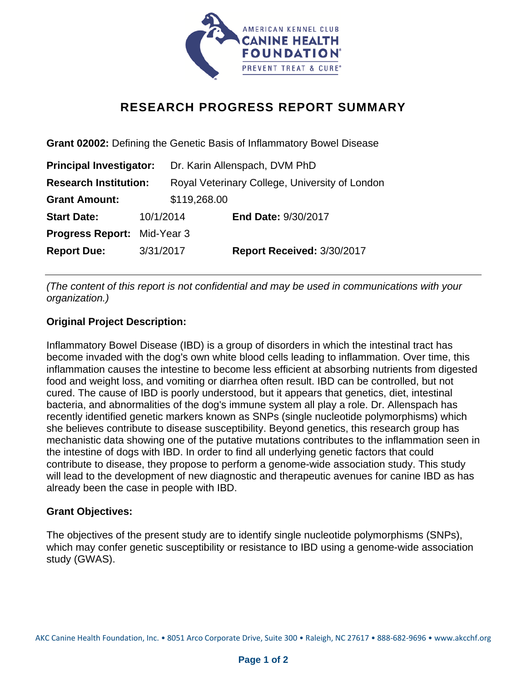

## **RESEARCH PROGRESS REPORT SUMMARY**

**Grant 02002:** Defining the Genetic Basis of Inflammatory Bowel Disease **Principal Investigator:** Dr. Karin Allenspach, DVM PhD **Research Institution:** Royal Veterinary College, University of London **Grant Amount:** \$119,268.00 **Start Date:** 10/1/2014 **End Date:** 9/30/2017 **Progress Report:** Mid-Year 3 **Report Due:** 3/31/2017 **Report Received:** 3/30/2017

*(The content of this report is not confidential and may be used in communications with your organization.)* 

## **Original Project Description:**

Inflammatory Bowel Disease (IBD) is a group of disorders in which the intestinal tract has become invaded with the dog's own white blood cells leading to inflammation. Over time, this inflammation causes the intestine to become less efficient at absorbing nutrients from digested food and weight loss, and vomiting or diarrhea often result. IBD can be controlled, but not cured. The cause of IBD is poorly understood, but it appears that genetics, diet, intestinal bacteria, and abnormalities of the dog's immune system all play a role. Dr. Allenspach has recently identified genetic markers known as SNPs (single nucleotide polymorphisms) which she believes contribute to disease susceptibility. Beyond genetics, this research group has mechanistic data showing one of the putative mutations contributes to the inflammation seen in the intestine of dogs with IBD. In order to find all underlying genetic factors that could contribute to disease, they propose to perform a genome-wide association study. This study will lead to the development of new diagnostic and therapeutic avenues for canine IBD as has already been the case in people with IBD.

## **Grant Objectives:**

The objectives of the present study are to identify single nucleotide polymorphisms (SNPs), which may confer genetic susceptibility or resistance to IBD using a genome-wide association study (GWAS).